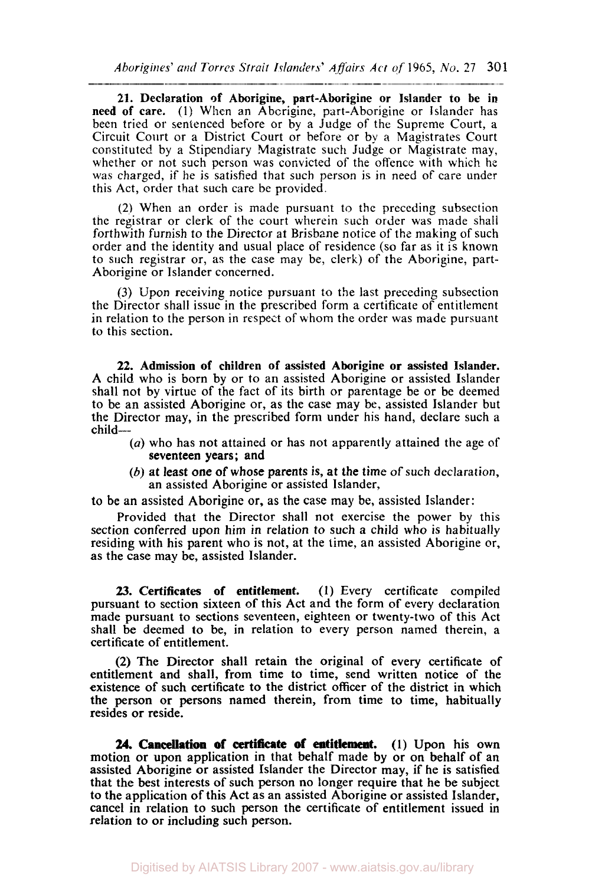21. Declaration **of** Aborigine, part-Aborigine or Islander to be in need of care. (1) When an Aborigine, part-Aborigine or Islander has been tried or sentenced before or by a Judge of the Supreme Court, a Circuit Court or a District Court or before or by a Magistrates Court constituted by a Stipendiary Magistrate such Judge or Magistrate may, whether or not such person was convicted of the offence with which he was charged, if he is satisfied that such person is in need of care under this Act, order that such care be provided.

(2) When an order is made pursuant to the preceding subsection the registrar or clerk of the court wherein such order was made shall forthwith furnish to the Director at Brisbane notice of the making of such order and the identity and usual place of residence (so far as it is known to such registrar or, as the case may be, clerk) of the Aborigine, part-Aborigine or Islander concerned.

(3) Upon receiving notice pursuant to the last preceding subsection the Director shall issue in the prescribed form a certificate of entitlement in relation to the person in respect of whom the order was made pursuant **to** this section.

**22.** Admission of children of assisted Aborigine or assisted Islander. A child who is born by or to an assisted Aborigine or assisted Islander shall not by virtue of the fact of its birth or parentage be or be deemed to be an assisted Aborigine or, as the case may be, assisted Islander but the Director may, in the prescribed form under his hand, declare such a child-

- *(a)* who has not attained or has not apparently attained the age of seventeen years; and
- (b) at least one of whose parents *is,* at the time of such declaration, an assisted Aborigine or assisted Islander,

to be an assisted Aborigine or, as the case map be, assisted Islander:

Provided that the Director shall not exercise the power by this section conferred upon him in relation to such a child who is habitually residing with his parent who is not, at the time, an assisted Aborigine or, as the case may be, assisted Islander.

*23.* Certificates of entitlement. **(1)** Every certificate compiled pursuant to section sixteen of this Act and the form of every declaration made pursuant to sections seventeen, eighteen or twenty-two of this Act shall be deemed to be, in relation to every person named therein, a certificate of entitlement.

(2) The Director shall retain the original of every certificate of entitlement and shall, from time to time, send written notice of the existence of such certificate to the district **officer** of the district in which the person or persons named therein, from time to time, habitually resides or reside.

24. Cancellation of certificate of entitlement. (1) Upon his own motion or upon application in that behalf made by or on behalf of an assisted Aborigine or assisted Islander the Director may, if he is satisfied that the best interests of such person no longer require that he be subject to the application of this Act as an assisted Aborigine or assisted Islander, cancel in relation to such person the certificate of entitlement issued in relation to or including such person.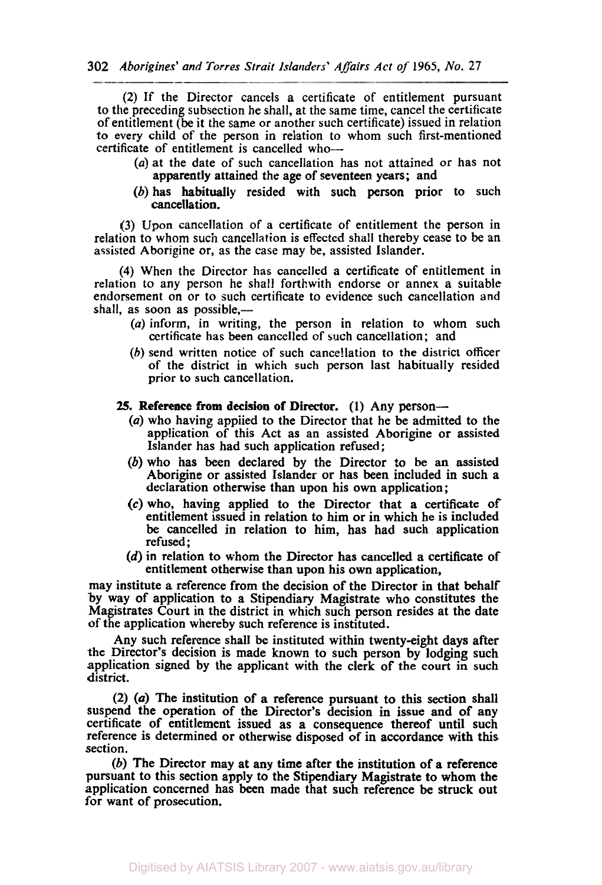(2) If the Director cancels a certificate of entitlement pursuant **to** the preceding subsection be shall, at the same time, cancel the certificate of entitlement (be it the same or another such certificate) issued in relation to every child of the person in relation to whom such first-mentioned certificate of entitlement is cancelled who-

- (a) at the date of such cancellation has not attained or has not apparently attained the age of seventeen years; and
- (b) has habitually resided with such person prior to such cancellation.

(3) Upon cancellation of a certificate of entitlement the person in relation to whom such cancellation is effected shall thereby cease to be an assisted Aborigine or, as the case may be, assisted Islander.

**(4)** When the Director has cancelled **a** certificate of entitlement in relation to any person he shall forthwith endorse or annex a suitable endorsement on or to such certificate to evidence such cancellation and shall, as soon as possible,—

- (a) inform, in writing, the person in relation to whom such certificate has been cancelled of such cancellation; and
- *(b)* send written notice of such cancellation to the district **officer**  of the district in which such person last habitually resided prior **to** such cancellation.

## **25. Reference from decision of Director. (1) Any person-**

- (a) who having applied to the Director that he be admitted to the application of this Act as an assisted Aborigine or assisted Islander has had such application refused;
- (b) who has been declared **by** the Director **to** be an assisted Aborigine or assisted Islander **or** has been included in such a declaration otherwise than upon his **own** application ;
- **(c)** who, having applied to the Director that a certificate of entitlement issued in relation to him or in which he is included be cancelled in relation to him, has had such application refused;
- (d) in relation to whom the Director has cancelled a certificate of entitlement otherwise than upon his **own** application,

may institute a reference from the decision of the Director in that behalf **by** way of application to a Stipendiary Magistrate who constitutes the Magistrates Court in the district in which such person resides at the date **of** the application whereby such reference is instituted.

Any such reference shall be instituted within twenty-eight days after the Director's decision is made known to such person by lodging such application signed by the applicant with the clerk of the court in such district.

**(2)** *(a)* The institution of a reference pursuant to this section shall suspend the operation of the Director's decision in issue and of any certificate of entitlement issued as a consequence thereof until such reference is determined **or** otherwise disposed of in accordance with this section.

(b) The Director may at any time after the institution of a reference pursuant to this section apply to the Stipendiary Magistrate to whom the application concerned has been made that such reference be struck out for want of prosecution.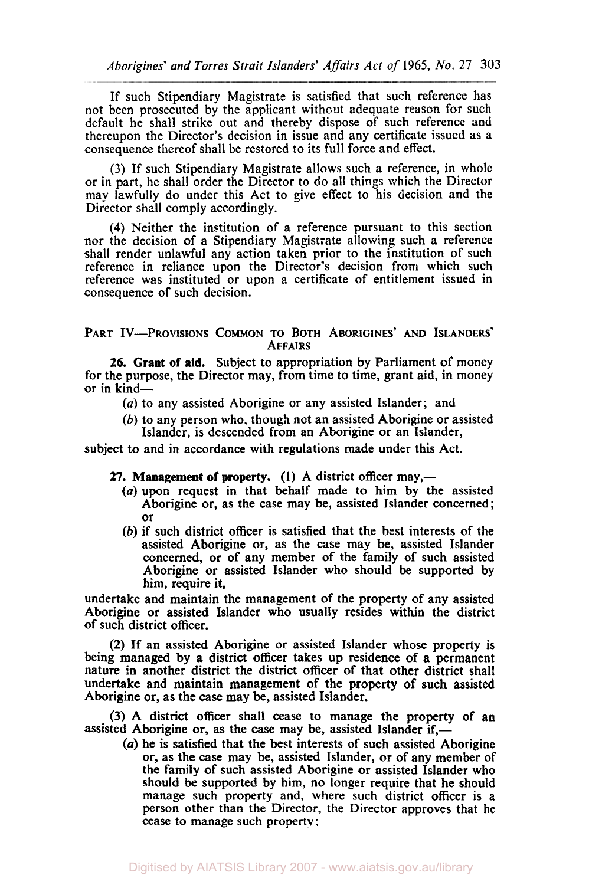If such Stipendiary Magistrate is satisfied that such reference has not been prosecuted by the applicant without adequate reason for such default he shall strike out and thereby dispose of such reference and thereupon the Director's decision in issue and any certificate issued as a consequence thereof shall be restored to its full force and effect.

(3) If such Stipendiary Magistrate allows such a reference, in whole or in part, he shall order the Director to do all things which the Director may lawfully do under this Act to give effect to his decision and the Director shall comply accordingly.

**(4)** Neither the institution of a reference pursuant to this section nor the decision of a Stipendiary Magistrate allowing such a reference shall render unlawful any action taken prior to the institution of such reference in reliance upon the Director's decision from which such reference was instituted or upon a certificate of entitlement issued in consequence of such decision.

PART **IV-PROVISlONS COMMON TO** BOTH ABORIGINES' AND ISLANDERS' AFFAIRS

**26.** Grant of aid. Subject to appropriation by Parliament of money for the purpose, the Director may, from time to time, grant aid, in money or in kind-

- *(a)* to any assisted Aborigine or any assisted Islander; and
- (b) to any person who, though not an assisted Aborigine or assisted Islander, is descended from an Aborigine or an Islander,

subject to and in accordance with regulations made under this Act.

**27. Management** of property. **(1)** A district officer may,-

- *(a)* upon request in that behalf made to him by the assisted Aborigine or, as the case may be, assisted Islander concerned ; or
- (b) if such district officer is satisfied that the best interests of the assisted Aborigine or, as the case may be, assisted Islander concerned, or of any member of the family of such assisted Aborigine or assisted Islander who should be supported by him, require it,

undertake and maintain the management of the property of any assisted Aborigine or assisted Islander who usually resides within the district **of** such district officer.

**(2)** If an assisted Aborigine or assisted Islander whose property is being managed by a district officer takes up residence of **a** permanent nature in another district the district officer of that other district shall undertake and maintain management of the property of such assisted Aborigine or, as the case may be, assisted Islander.

(3) A district officer shall cease to manage the property of an assisted Aborigine or, as the case may be, assisted Islander if,—

*(a)* he is satisfied that the best interests of such assisted Aborigine or, as the case may be, assisted Islander, or of any member of the family of such assisted Aborigine or assisted Islander **who**  should be supported by him, no longer require that he should manage such property and, where such district officer is a person other than the Director, the Director approves that he cease to manage such property: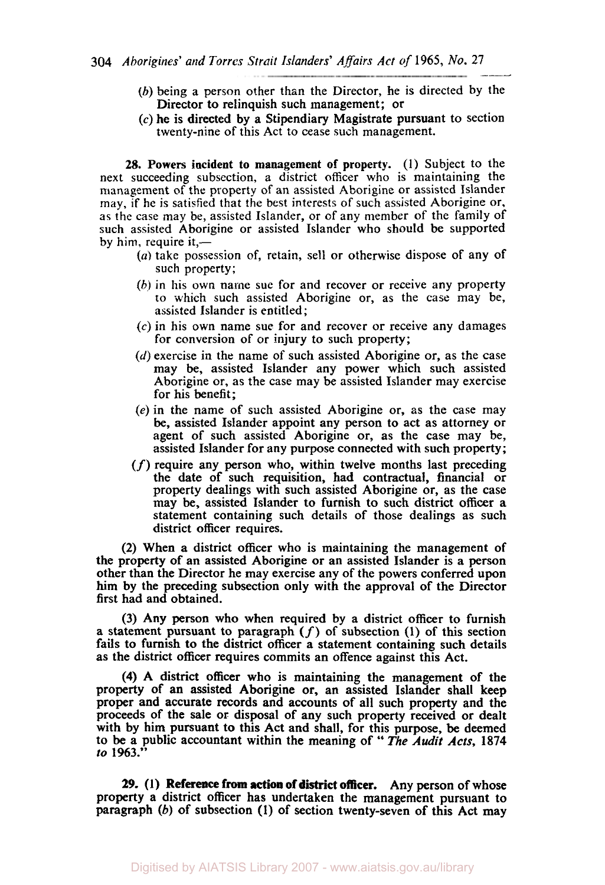- (b) being a person other than the Director, he is directed by the Director to relinquish such management; or
- **(c)** he is directed by a Stipendiary Magistrate pursuant to section twenty-nine of this Act to cease such management.

**28.** Powers incident to management of property. (1) Subject to the next succeeding subsection, a district officer who is maintaining the management of the property of an assisted Aborigine or assisted Islander may, if he is satisfied that the best interests of such assisted Aborigine or, **as** the case may be, assisted Islander, or of any member of the family of such assisted Aborigine or assisted Islander who should be supported by him, require it,—

- *(a)* take possession of, retain, sell or otherwise dispose of any of such property;
- (b) in his **own** name sue for and recover or receive any property to which such assisted Aborigine or, as the case may be, assisted Islander is entitled;
- *(c)* in his **own** name sue for and recover or receive any damages for conversion of or injury to such property;
- (d) exercise in the name of such assisted Aborigine or, as the case may be, assisted Islander any power which such assisted Aborigine or, as the case may be assisted Islander may exercise for his benefit;
- *(e)* in the name of such assisted Aborigine or, as the case may be, assisted Islander appoint any person to act as attorney or agent of such assisted Aborigine or, as the case may be, assisted Islander for any purpose connected with such property;
- $(f)$  require any person who, within twelve months last preceding the date of such requisition, had contractual, financial or property dealings with such assisted Aborigine or, as the case may be, assisted Islander to furnish to such district officer **a**  statement containing such details of those dealings as such district officer requires.

(2) When a district officer who is maintaining the management of the property of an assisted Aborigine or an assisted Islander is a person other than the Director he may exercise any of the powers conferred upon him by the preceding subsection only with the approval of the Director first had and obtained.

(3) Any person who when required by a district officer to furnish a statement pursuant to paragraph  $(f)$  of subsection  $(1)$  of this section fails to furnish to the district officer a statement containing such details **as** the district officer requires commits an offence against this Act.

**(4) A** district officer who is maintaining the management of the property of an assisted Aborigine or, an assisted Islander shall keep proper and accurate records and accounts of all such property and the proceeds of the sale or disposal of any such property received or dealt with by him pursuant to this Act and shall, for this purpose, be deemed **to** be a public accountant within the meaning **of** " The *Audit Acts,* **<sup>1874</sup>** *to* **1963."** 

*29.* **(1) Reference from action** of district officer. Any person of whose property a district officer has undertaken the management pursuant to paragraph (b) of subsection (I) of section twenty-seven of this Act may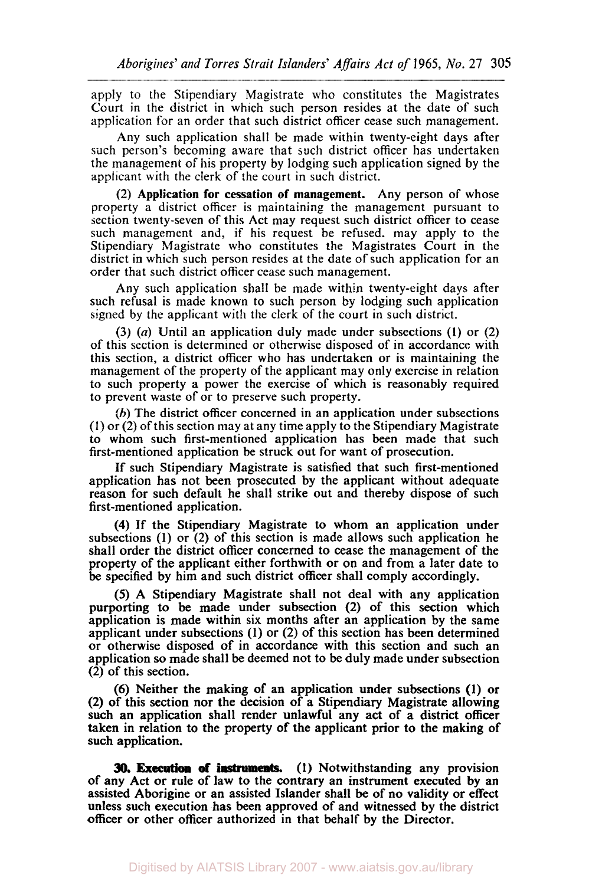apply to the Stipendiary Magistrate who constitutes the Magistrates Court in the district in which such person resides at the date of such application for an order that such district officer cease such management.

Any such application shall be made within twenty-eight days after such person's becoming aware that such district officer has undertaken the management of his property by lodging such application signed by the applicant with the clerk of the court in such district.

(2) Application for cessation of management. Any person of whose property a district officer is maintaining the management pursuant to section twenty-seven of this Act may request such district officer to cease such management and, if his request be refused. may apply to the Stipendiary Magistrate who constitutes the Magistrates Court in the district in which such person resides at the date of such application for an order that such district officer cease such management.

Any such application shall be made within twenty-eight days after such refusal is made known to such person by lodging such application signed by the applicant with the clerk of the court in such district.

(3) *(a)* Until an application duly made under subsections **(l)** or (2) of this section is determined or otherwise disposed of in accordance with this section, a district officer who has undertaken or is maintaining the management of the property of the applicant may only exercise in relation to such property a power the exercise of which is reasonably required to prevent waste of or to preserve such property.

(h) The district officer concerned in an application under subsections (1) or (2) of this section may at any time apply to the Stipendiary Magistrate to whom such first-mentioned application has been made that such first-mentioned application be struck out for want of prosecution.

If such Stipendiary Magistrate is satisfied that such first-mentioned application has not been prosecuted by the applicant without adequate reason for such default he shall strike out and thereby dispose of such first-mentioned application.

**(4)** If the Stipendiary Magistrate to whom an application under subsections **(1)** or (2) of this section is made allows such application he shall order the district officer concerned to cease the management of the property of the applicant either forthwith or on and from a later date to be specified by him and such district officer shall comply accordingly.

*(5)* A Stipendiary Magistrate shall not deal with any application purporting to be made under subsection (2) of this section which application is made within six months after an application by the same applicant under subsections **(1)** or (2) of this section has been determined or otherwise disposed of in accordance with this section and such an application so made shall be deemed not to be duly made under subsection **(2)** of this section.

(6) Neither the making of an application under subsections **(1)** or **(2)** of this section nor the decision of a Stipendiary Magistrate allowing such an application shall render unlawful any act of a district officer taken in relation to the property of the applicant prior to the making of such application.

**30. Execution of instruments. (1)** Notwithstanding any provision **of** any Act or rule of law to the contrary an instrument executed by an assisted Aborigine or an assisted Islander shall be of no validity or effect unless such execution has been approved of and witnessed by the district officer or other officer authorized in that behalf by the Director.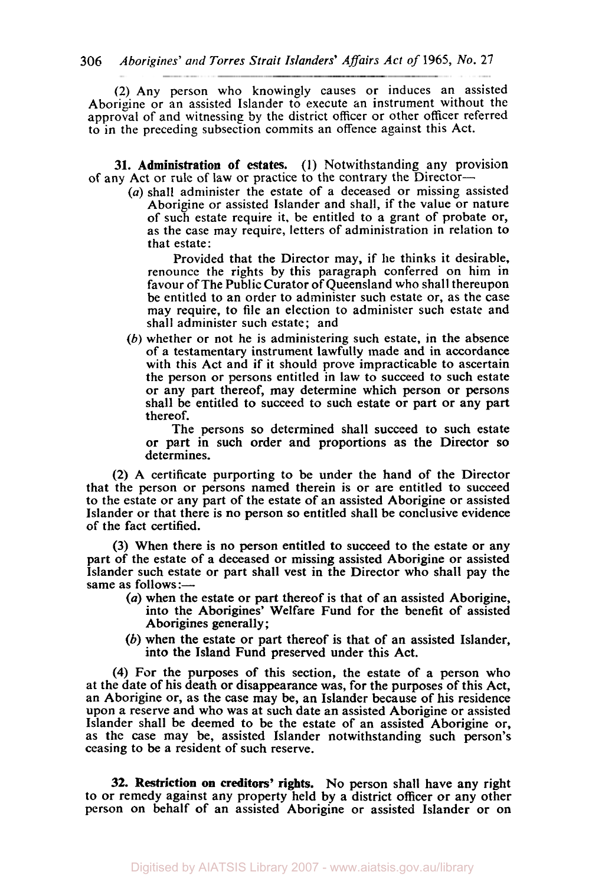(2) Any person who knowingly causes or induces an assisted Aborigine or an assisted Islander to execute an instrument without the approval of and witnessing **by** the district officer or other officer referred to in the preceding subsection commits an offence against this Act.

**31.** Administration of estates. **(I)** Notwithstanding any provision **of** any Act or **rule** of law or practice to the contrary the Director-

*(a)* shall administer the estate of a deceased or missing assisted Aborigine or assisted Islander and shall, if the value or nature of such estate require it, be entitled to a grant of probate or, as the case may require, letters of administration in relation to that estate:

Provided that the Director may, if lie thinks it desirable, renounce the rights by this paragraph conferred **on** him in favour of The Public Curator of Queensland who shall thereupon be entitled to an order to administer such estate or, as the case may require, to file an election to administer such estate and shall administer such estate; and

(b) whether or not he is administering such estate, in the absence of a testamentary instrument lawfully made and in accordance with this Act and if it should prove impracticable to ascertain the person or persons entitled in law to succeed to such estate or any part thereof, may determine which person or persons shall be entitled to succeed to such estate or part or any part thereof.

The persons **so** determined shall succeed to such estate or part in such order and proportions as the Director **so**  determines.

(2) A certificate purporting to be under the hand of the Director that the person or persons named therein is or are entitled to succeed to the estate or any part of the estate of an assisted Aborigine or assisted Islander or that there is no person **so** entitled shall be conclusive evidence of the fact certified.

(3) When there is no person entitled to succeed to the estate or any part of the estate of a deceased or missing assisted Aborigine or assisted Islander such estate or part shall vest in the Director who shall pay the same as follows:-

- *(a)* when the estate or part thereof is that of an assisted Aborigine, into the Aborigines' Welfare Fund for the benefit of assisted Aborigines generally;
- (b) when the estate or part thereof is that of an assisted Islander, into the Island Fund preserved under this Act.

**(4)** For the purposes of this section, the estate of a person who at the date of his death or disappearance was, for the purposes of this Act, an Aborigine or, as the case may be, an Islander because of his residence upon a reserve and who was at such date an assisted Aborigine or assisted Islander shall be deemed to be the estate of an assisted Aborigine or, as the case may be, assisted Islander notwithstanding such person's ceasing to be **a** resident of such reserve.

**32. Restriction on creditors' rights. No** person shall have any right to or remedy against any property held by a district officer or any other person on behalf of an assisted Aborigine or assisted Islander or **on**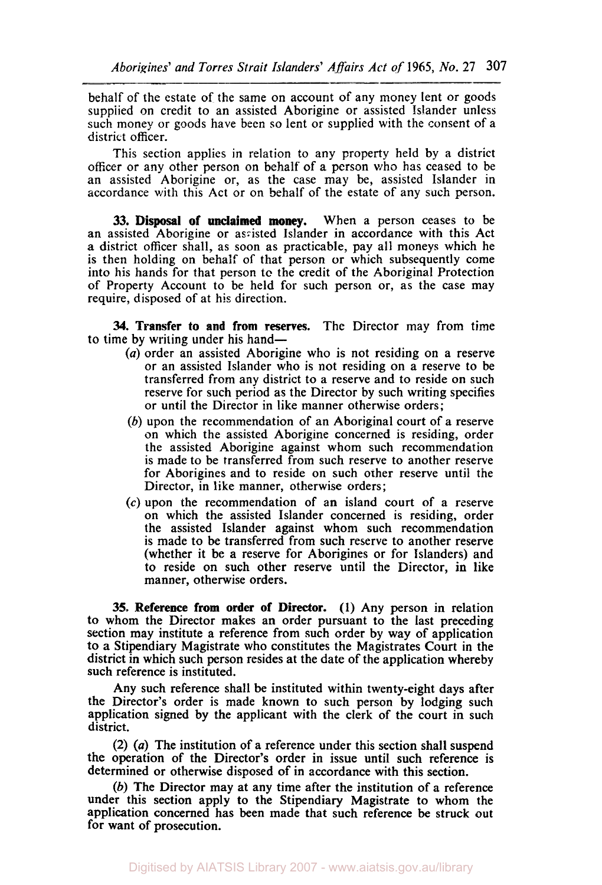behalf of the estate of the same on account of any money lent or goods supplied on credit to an assisted Aborigine or assisted Islander unless such money or goods have been so lent or supplied with the consent of a district officer.

~~~ ~~

This section applies in relation to any property held by a district officer or any other person on behalf of a person who has ceased to be an assisted Aborigine or, as the case may be, assisted Islander in accordance with this Act or on behalf of the estate of any such person.

**33. Disposal of unclaimed** money. When a person ceases to be an assisted Aborigine or assisted Islander in accordance with this Act a district officer shall, as soon as practicable, pay all moneys which he is then holding on behalf of that person or which subsequently come into his hands for that person **to** the credit of the Aboriginal Protection of Property Account to be held for such person or, as the case may require, disposed of at his direction.

**34. Transfer to and from reserves.** The Director may from time to time by writing under his hand—

- *(a)* order an assisted Aborigine who is not residing on a reserve or an assisted Islander who is not residing on a reserve to be transferred from any district to a reserve and to reside on such reserve for such period as the Director by such writing specifies or until the Director in like manner otherwise orders;
- *(b)* upon the recommendation of an Aboriginal court of a reserve on which the assisted Aborigine concerned is residing, order the assisted Aborigine against whom such recommendation is made to be transferred from such reserve to another reserve for Aborigines and to reside on such other reserve until the Director, in like manner, otherwise orders;
- *(c)* upon the recommendation of an island court of a reserve on which the assisted Islander concerned is residing, order the assisted Islander against whom such recommendation is made to be transferred from such reserve to another reserve (whether it be a reserve for Aborigines or for Islanders) and to reside on such other reserve until the Director, in like manner, otherwise orders.

**35. Reference from order of Director. (1)** Any person in relation to whom the Director makes an order pursuant to the last preceding section may institute a reference from such order by way of application to a Stipendiary Magistrate who constitutes the Magistrates Court in the district in which such person resides at the date of the application whereby such reference is instituted.

Any such reference shall be instituted within twenty-eight days after the Director's order is made known to such person by lodging such application signed by the applicant with the clerk of the court in such district.

(2) *(a)* The institution of a reference under this section shall suspend the operation of the Director's order in issue until such reference is determined or otherwise disposed of in accordance with this section.

(b) The Director may at any time after the institution of a reference under this section apply to the Stipendiary Magistrate to whom the application concerned has been made that such reference be struck out for want of prosecution.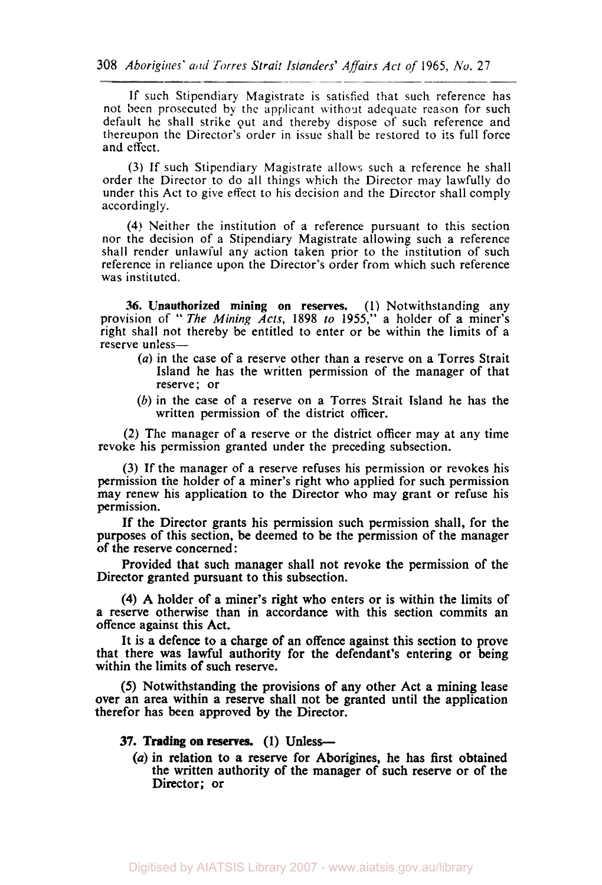If such Stipendiary Magistrate is satisfied that such reference has not been prosecuted by the applicant without adequate reason for such default he shall strike out and thereby dispose of such reference and thereupon the Director's order in issue shall be restored to its full force and effect.

(3) If such Stipendiary Magistrate allows such a reference he shall order the Director to do all things which the Director may lawfully do under this Act to give effect to his decision and the Director shall comply accordingly.

**(4)** Neither the institution of a reference pursuant to this section nor the decision of a Stipendiary Magistrate allowing such a reference shall render unlawful any action taken prior to the institution of such reference in reliance upon the Director's order from which such reference was instituted.

**36. Unauthorized mining on reserves. (1)** Notwithstanding any provision of " The *Mining Acts,* 1898 *to* **1955,"** a holder of a miner's right shall not thereby be entitled to enter or be within the limits of a reserve unless-

- (a) in the case of a reserve other than a reserve on a Torres Strait Island he has the written permission of the manager of that reserve; or
- (b) in the case of a reserve on a Torres Strait Island he has the written permission of the district officer.

(2) The manager of a reserve or the district officer may at any time revoke his permission granted under the preceding subsection.

(3) If the manager of a reserve refuses his permission or revokes his permission the holder of a miner's right who applied for such permission may renew his application to the Director who may grant or refuse his permission.

If the Director grants his permission such permission shall, for the purposes of this section, be deemed to be the permission of the manager of the reserve concerned :

Provided that such manager shall not revoke the permission of the Director granted pursuant to this subsection.

**(4) A** holder of a miner's right who enters or is within the limits of a reserve otherwise than in accordance with this section commits an offence against this Act.

It is **a** defence **to** a charge of an offence against this section to prove that there was lawful authority for the defendant's entering or being within the limits **of** such reserve.

*(5)* Notwithstanding the provisions **of** any other Act a mining lease over an area within a reserve shall not be granted until the application therefor has been approved by the Director.

## **37. Trading on reserves. (1)** Unless-

*(a)* in relation to **a** reserve for Aborigines, he has first obtained the written authority of the manager of such reserve or of the Director; **or**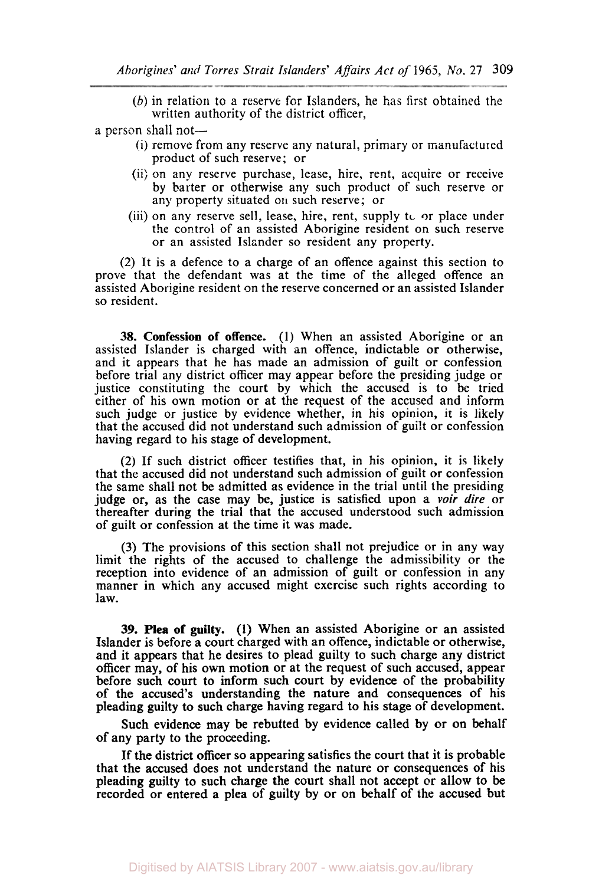(b) in relation to a reserve for Islanders, he has first obtained the written authority of the district officer,

a person shall not-

- (i) remove from any reserve any natural, primary or manufactured product of such reserve; or
- (ii) on any reserve purchase, lease, hire, rent, acquire or receive by barter or otherwise any such product of such reserve or any property situated On such reserve; or
- (iii) on any reserve sell, lease, hire, rent, supply to **or** place under the control of an assisted Aborigine resident on such reserve or an assisted Islander so resident any property.

(2) It is a defence to a charge of an offence against this section to prove that the defendant was at the time of the alleged offence an assisted Aborigine resident on the reserve concerned or an assisted Islander so resident.

**38. Confession of offence. (1)** When an assisted Aborigine or an assisted Islander is charged with an offence, indictable or otherwise, and it appears that he has made an admission of guilt or confession before trial any district officer may appear before the presiding judge or justice constituting the court by which the accused is to be tried either of his own motion or at the request of the accused and inform such judge or justice by evidence whether, in his opinion, it is likely that the accused did not understand such admission of guilt or confession having regard to his stage of development.

(2) If such district officer testifies that, in his opinion, it is likely that the accused did not understand such admission of guilt or confession the same shall not be admitted as evidence in the trial until the presiding judge or, as the case may be, justice is satisfied upon *a voir* dire or thereafter during the trial that the accused understood such admission of guilt or confession at the time it was made.

(3) The provisions of this section shall not prejudice or in any way limit the rights of the accused to challenge the admissibility or the reception into evidence of an admission of guilt or confession in any manner in which any accused might exercise such rights according to law.

**39. Plea of guilty. (1)** When an assisted Aborigine or an assisted Islander is before a court charged with an offence, indictable or otherwise, and it appears that he desires to plead guilty to such charge any district officer may, of his own motion or at the request of such accused, appear before such court to inform such court by evidence of the probability of the accused's understanding the nature and consequences of his pleading guilty to such charge having regard to his stage of development.

Such evidence may be rebutted by evidence called by or on behalf of any party to the proceeding.

If the district officer *so* appearing satisfies the court that it is probable that the accused does not understand the nature or consequences of his pleading guilty to such charge the court shall not accept or allow to be recorded or entered a plea of guilty by or on behalf of the accused but